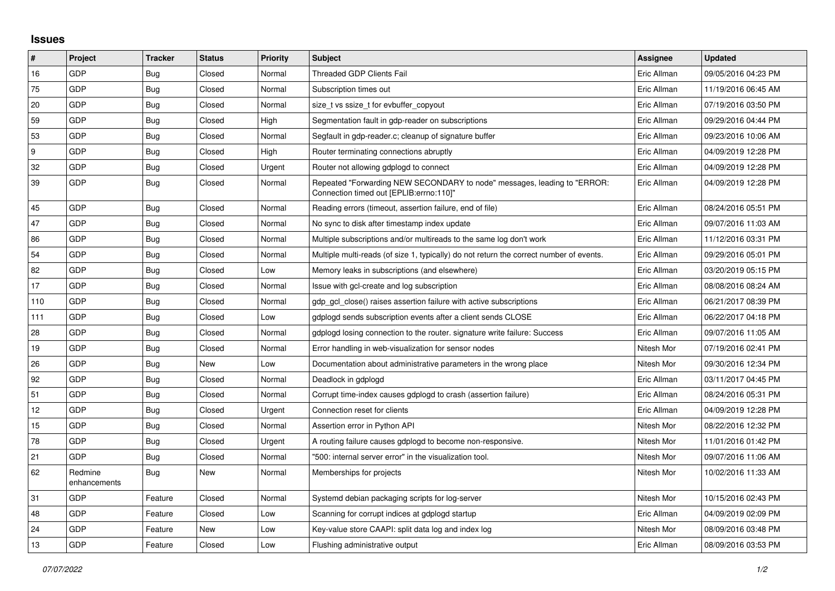## **Issues**

| #   | Project                 | <b>Tracker</b> | <b>Status</b> | <b>Priority</b> | <b>Subject</b>                                                                                                      | Assignee    | <b>Updated</b>      |
|-----|-------------------------|----------------|---------------|-----------------|---------------------------------------------------------------------------------------------------------------------|-------------|---------------------|
| 16  | GDP                     | Bug            | Closed        | Normal          | <b>Threaded GDP Clients Fail</b>                                                                                    | Eric Allman | 09/05/2016 04:23 PM |
| 75  | GDP                     | Bug            | Closed        | Normal          | Subscription times out                                                                                              | Eric Allman | 11/19/2016 06:45 AM |
| 20  | GDP                     | Bug            | Closed        | Normal          | size t vs ssize t for evbuffer copyout                                                                              | Eric Allman | 07/19/2016 03:50 PM |
| 59  | GDP                     | Bug            | Closed        | High            | Segmentation fault in gdp-reader on subscriptions                                                                   | Eric Allman | 09/29/2016 04:44 PM |
| 53  | GDP                     | Bug            | Closed        | Normal          | Segfault in gdp-reader.c; cleanup of signature buffer                                                               | Eric Allman | 09/23/2016 10:06 AM |
| 9   | GDP                     | Bug            | Closed        | High            | Router terminating connections abruptly                                                                             | Eric Allman | 04/09/2019 12:28 PM |
| 32  | GDP                     | Bug            | Closed        | Urgent          | Router not allowing gdplogd to connect                                                                              | Eric Allman | 04/09/2019 12:28 PM |
| 39  | GDP                     | <b>Bug</b>     | Closed        | Normal          | Repeated "Forwarding NEW SECONDARY to node" messages, leading to "ERROR:<br>Connection timed out [EPLIB:errno:110]" | Eric Allman | 04/09/2019 12:28 PM |
| 45  | GDP                     | Bug            | Closed        | Normal          | Reading errors (timeout, assertion failure, end of file)                                                            | Eric Allman | 08/24/2016 05:51 PM |
| 47  | GDP                     | <b>Bug</b>     | Closed        | Normal          | No sync to disk after timestamp index update                                                                        | Eric Allman | 09/07/2016 11:03 AM |
| 86  | GDP                     | Bug            | Closed        | Normal          | Multiple subscriptions and/or multireads to the same log don't work                                                 | Eric Allman | 11/12/2016 03:31 PM |
| 54  | GDP                     | Bug            | Closed        | Normal          | Multiple multi-reads (of size 1, typically) do not return the correct number of events.                             | Eric Allman | 09/29/2016 05:01 PM |
| 82  | GDP                     | <b>Bug</b>     | Closed        | Low             | Memory leaks in subscriptions (and elsewhere)                                                                       | Eric Allman | 03/20/2019 05:15 PM |
| 17  | GDP                     | Bug            | Closed        | Normal          | Issue with gcl-create and log subscription                                                                          | Eric Allman | 08/08/2016 08:24 AM |
| 110 | GDP                     | Bug            | Closed        | Normal          | gdp gcl close() raises assertion failure with active subscriptions                                                  | Eric Allman | 06/21/2017 08:39 PM |
| 111 | GDP                     | Bug            | Closed        | Low             | gdplogd sends subscription events after a client sends CLOSE                                                        | Eric Allman | 06/22/2017 04:18 PM |
| 28  | GDP                     | <b>Bug</b>     | Closed        | Normal          | gdplogd losing connection to the router. signature write failure: Success                                           | Eric Allman | 09/07/2016 11:05 AM |
| 19  | GDP                     | Bug            | Closed        | Normal          | Error handling in web-visualization for sensor nodes                                                                | Nitesh Mor  | 07/19/2016 02:41 PM |
| 26  | GDP                     | Bug            | New           | Low             | Documentation about administrative parameters in the wrong place                                                    | Nitesh Mor  | 09/30/2016 12:34 PM |
| 92  | GDP                     | <b>Bug</b>     | Closed        | Normal          | Deadlock in gdplogd                                                                                                 | Eric Allman | 03/11/2017 04:45 PM |
| 51  | GDP                     | Bug            | Closed        | Normal          | Corrupt time-index causes gdplogd to crash (assertion failure)                                                      | Eric Allman | 08/24/2016 05:31 PM |
| 12  | GDP                     | Bug            | Closed        | Urgent          | Connection reset for clients                                                                                        | Eric Allman | 04/09/2019 12:28 PM |
| 15  | GDP                     | Bug            | Closed        | Normal          | Assertion error in Python API                                                                                       | Nitesh Mor  | 08/22/2016 12:32 PM |
| 78  | <b>GDP</b>              | <b>Bug</b>     | Closed        | Urgent          | A routing failure causes gdplogd to become non-responsive.                                                          | Nitesh Mor  | 11/01/2016 01:42 PM |
| 21  | GDP                     | Bug            | Closed        | Normal          | "500: internal server error" in the visualization tool.                                                             | Nitesh Mor  | 09/07/2016 11:06 AM |
| 62  | Redmine<br>enhancements | <b>Bug</b>     | New           | Normal          | Memberships for projects                                                                                            | Nitesh Mor  | 10/02/2016 11:33 AM |
| 31  | GDP                     | Feature        | Closed        | Normal          | Systemd debian packaging scripts for log-server                                                                     | Nitesh Mor  | 10/15/2016 02:43 PM |
| 48  | GDP                     | Feature        | Closed        | Low             | Scanning for corrupt indices at gdplogd startup                                                                     | Eric Allman | 04/09/2019 02:09 PM |
| 24  | GDP                     | Feature        | New           | Low             | Key-value store CAAPI: split data log and index log                                                                 | Nitesh Mor  | 08/09/2016 03:48 PM |
| 13  | GDP                     | Feature        | Closed        | Low             | Flushing administrative output                                                                                      | Eric Allman | 08/09/2016 03:53 PM |